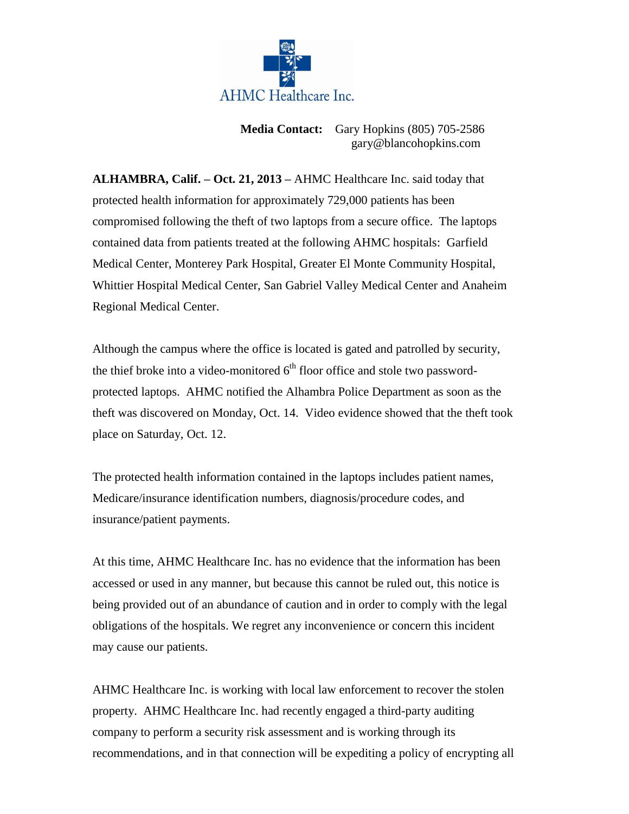

**Media Contact:** Gary Hopkins (805) 705-2586 gary@blancohopkins.com

**ALHAMBRA, Calif. – Oct. 21, 2013 –** AHMC Healthcare Inc. said today that protected health information for approximately 729,000 patients has been compromised following the theft of two laptops from a secure office. The laptops contained data from patients treated at the following AHMC hospitals: Garfield Medical Center, Monterey Park Hospital, Greater El Monte Community Hospital, Whittier Hospital Medical Center, San Gabriel Valley Medical Center and Anaheim Regional Medical Center.

Although the campus where the office is located is gated and patrolled by security, the thief broke into a video-monitored  $6<sup>th</sup>$  floor office and stole two passwordprotected laptops. AHMC notified the Alhambra Police Department as soon as the theft was discovered on Monday, Oct. 14. Video evidence showed that the theft took place on Saturday, Oct. 12.

The protected health information contained in the laptops includes patient names, Medicare/insurance identification numbers, diagnosis/procedure codes, and insurance/patient payments.

At this time, AHMC Healthcare Inc. has no evidence that the information has been accessed or used in any manner, but because this cannot be ruled out, this notice is being provided out of an abundance of caution and in order to comply with the legal obligations of the hospitals. We regret any inconvenience or concern this incident may cause our patients.

AHMC Healthcare Inc. is working with local law enforcement to recover the stolen property. AHMC Healthcare Inc. had recently engaged a third-party auditing company to perform a security risk assessment and is working through its recommendations, and in that connection will be expediting a policy of encrypting all